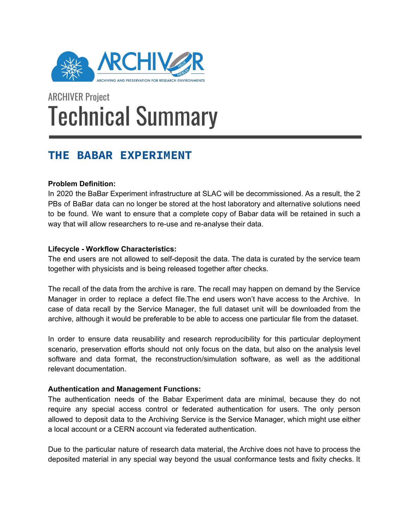

# ARCHIVER Project Technical Summary

# **THE BABAR EXPERIMENT**

## **Problem Definition:**

In 2020 the BaBar Experiment infrastructure at SLAC will be decommissioned. As a result, the 2 PBs of BaBar data can no longer be stored at the host laboratory and alternative solutions need to be found. We want to ensure that a complete copy of Babar data will be retained in such a way that will allow researchers to re-use and re-analyse their data.

## **Lifecycle - Workflow Characteristics:**

The end users are not allowed to self-deposit the data. The data is curated by the service team together with physicists and is being released together after checks.

The recall of the data from the archive is rare. The recall may happen on demand by the Service Manager in order to replace a defect file.The end users won't have access to the Archive. In case of data recall by the Service Manager, the full dataset unit will be downloaded from the archive, although it would be preferable to be able to access one particular file from the dataset.

In order to ensure data reusability and research reproducibility for this particular deployment scenario, preservation efforts should not only focus on the data, but also on the analysis level software and data format, the reconstruction/simulation software, as well as the additional relevant documentation.

## **Authentication and Management Functions:**

The authentication needs of the Babar Experiment data are minimal, because they do not require any special access control or federated authentication for users. The only person allowed to deposit data to the Archiving Service is the Service Manager, which might use either a local account or a CERN account via federated authentication.

Due to the particular nature of research data material, the Archive does not have to process the deposited material in any special way beyond the usual conformance tests and fixity checks. It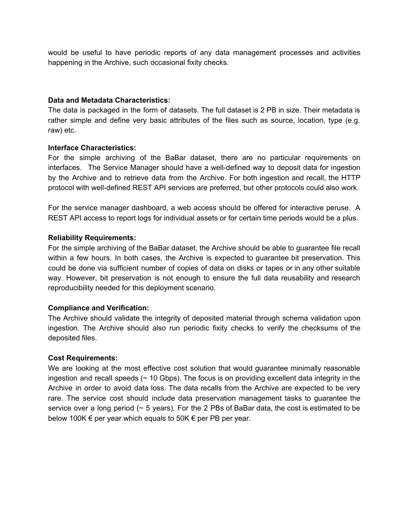would be useful to have periodic reports of any data management processes and activities happening in the Archive, such occasional fixity checks.

#### **Data and Metadata Characteristics:**

The data is packaged in the form of datasets. The full dataset is 2 PB in size. Their metadata is rather simple and define very basic attributes of the files such as source, location, type (e.g. raw) etc.

#### **Interface Characteristics:**

For the simple archiving of the BaBar dataset, there are no particular requirements on interfaces. The Service Manager should have a well-defined way to deposit data for ingestion by the Archive and to retrieve data from the Archive. For both ingestion and recall, the HTTP protocol with well-defined REST API services are preferred, but other protocols could also work.

For the service manager dashboard, a web access should be offered for interactive peruse. A REST API access to report logs for individual assets or for certain time periods would be a plus.

#### **Reliability Requirements:**

For the simple archiving of the BaBar dataset, the Archive should be able to guarantee file recall within a few hours. In both cases, the Archive is expected to guarantee bit preservation. This could be done via sufficient number of copies of data on disks or tapes or in any other suitable way. However, bit preservation is not enough to ensure the full data reusability and research reproducibility needed for this deployment scenario.

#### **Compliance and Verification:**

The Archive should validate the integrity of deposited material through schema validation upon ingestion. The Archive should also run periodic fixity checks to verify the checksums of the deposited files.

#### **Cost Requirements:**

We are looking at the most effective cost solution that would quarantee minimally reasonable ingestion and recall speeds  $($   $\sim$  10 Gbps). The focus is on providing excellent data integrity in the Archive in order to avoid data loss. The data recalls from the Archive are expected to be very rare. The service cost should include data preservation management tasks to guarantee the service over a long period  $($   $\sim$  5 years). For the 2 PBs of BaBar data, the cost is estimated to be below 100K  $\epsilon$  per year which equals to 50K  $\epsilon$  per PB per year.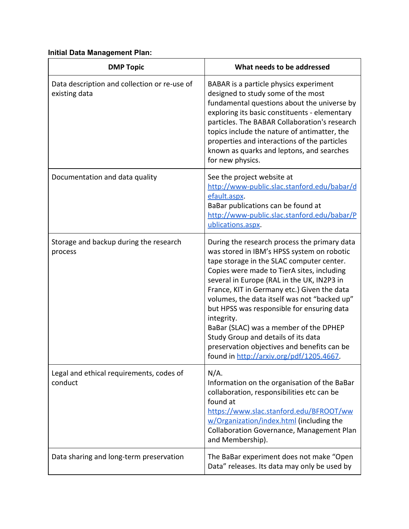# **Initial Data Management Plan:**

| <b>DMP Topic</b>                                              | What needs to be addressed                                                                                                                                                                                                                                                                                                                                                                                                                                                                                                                                                |
|---------------------------------------------------------------|---------------------------------------------------------------------------------------------------------------------------------------------------------------------------------------------------------------------------------------------------------------------------------------------------------------------------------------------------------------------------------------------------------------------------------------------------------------------------------------------------------------------------------------------------------------------------|
| Data description and collection or re-use of<br>existing data | BABAR is a particle physics experiment<br>designed to study some of the most<br>fundamental questions about the universe by<br>exploring its basic constituents - elementary<br>particles. The BABAR Collaboration's research<br>topics include the nature of antimatter, the<br>properties and interactions of the particles<br>known as quarks and leptons, and searches<br>for new physics.                                                                                                                                                                            |
| Documentation and data quality                                | See the project website at<br>http://www-public.slac.stanford.edu/babar/d<br>efault.aspx.<br>BaBar publications can be found at<br>http://www-public.slac.stanford.edu/babar/P<br>ublications.aspx.                                                                                                                                                                                                                                                                                                                                                                       |
| Storage and backup during the research<br>process             | During the research process the primary data<br>was stored in IBM's HPSS system on robotic<br>tape storage in the SLAC computer center.<br>Copies were made to TierA sites, including<br>several in Europe (RAL in the UK, IN2P3 in<br>France, KIT in Germany etc.) Given the data<br>volumes, the data itself was not "backed up"<br>but HPSS was responsible for ensuring data<br>integrity.<br>BaBar (SLAC) was a member of the DPHEP<br>Study Group and details of its data<br>preservation objectives and benefits can be<br>found in http://arxiv.org/pdf/1205.4667 |
| Legal and ethical requirements, codes of<br>conduct           | $N/A$ .<br>Information on the organisation of the BaBar<br>collaboration, responsibilities etc can be<br>found at<br>https://www.slac.stanford.edu/BFROOT/ww<br>w/Organization/index.html (including the<br>Collaboration Governance, Management Plan<br>and Membership).                                                                                                                                                                                                                                                                                                 |
| Data sharing and long-term preservation                       | The BaBar experiment does not make "Open<br>Data" releases. Its data may only be used by                                                                                                                                                                                                                                                                                                                                                                                                                                                                                  |